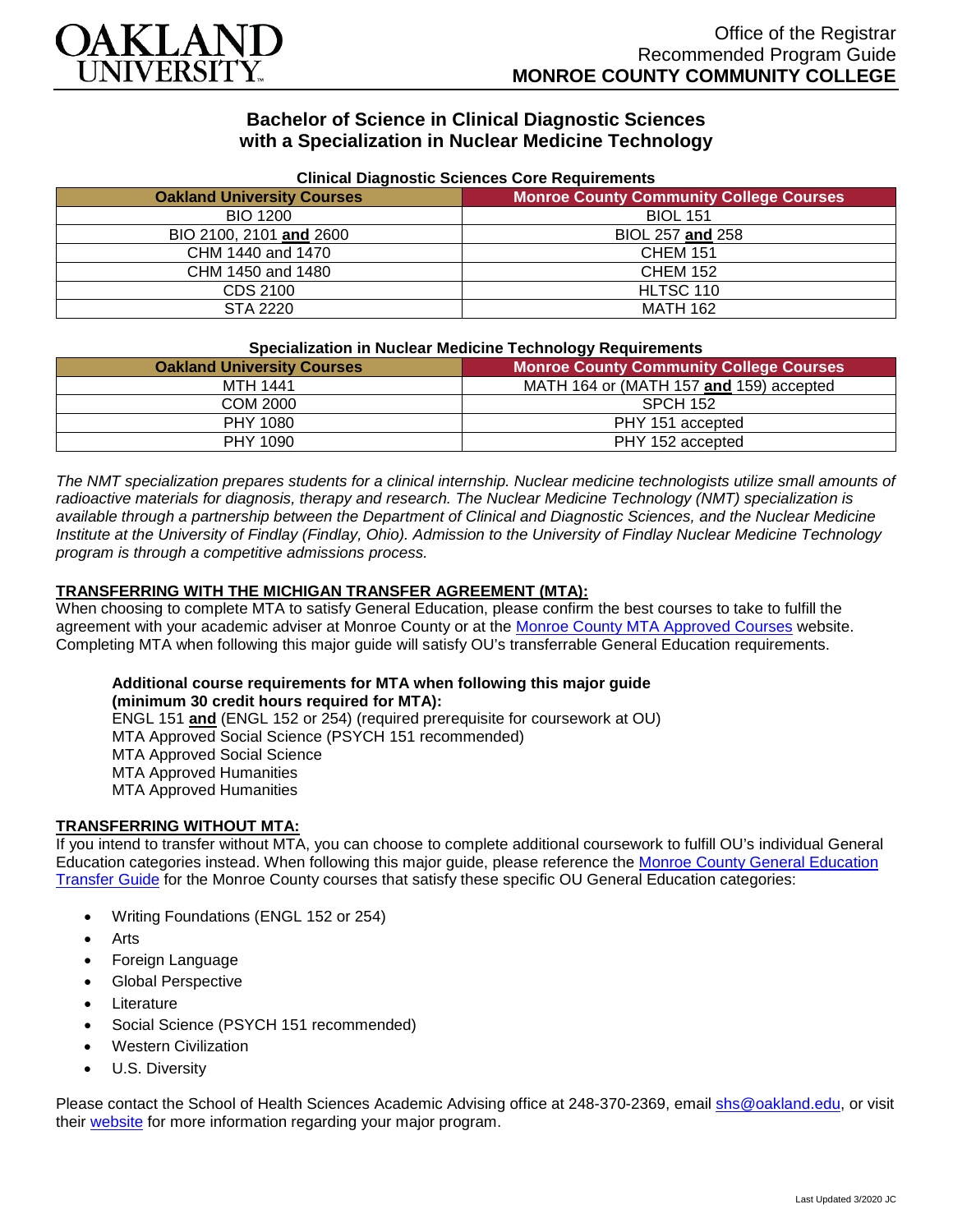

## **Bachelor of Science in Clinical Diagnostic Sciences with a Specialization in Nuclear Medicine Technology**

| Clinical Diagnostic Sciences Core Requirements |                                                |
|------------------------------------------------|------------------------------------------------|
| <b>Oakland University Courses</b>              | <b>Monroe County Community College Courses</b> |
| <b>BIO 1200</b>                                | <b>BIOL 151</b>                                |
| BIO 2100, 2101 and 2600                        | BIOL 257 and 258                               |
| CHM 1440 and 1470                              | <b>CHEM 151</b>                                |
| CHM 1450 and 1480                              | <b>CHEM 152</b>                                |
| CDS 2100                                       | HLTSC 110                                      |
| STA 2220                                       | <b>MATH 162</b>                                |

#### **Clinical Diagnostic Sciences Core Requirements**

#### **Specialization in Nuclear Medicine Technology Requirements**

| <u>epositionenten in italijaaristi moaienia teenineidaji itaajan eniema</u> |                                                |
|-----------------------------------------------------------------------------|------------------------------------------------|
| <b>Oakland University Courses</b>                                           | <b>Monroe County Community College Courses</b> |
| <b>MTH 1441</b>                                                             | MATH 164 or (MATH 157 and 159) accepted        |
| <b>COM 2000</b>                                                             | <b>SPCH 152</b>                                |
| PHY 1080                                                                    | PHY 151 accepted                               |
| PHY 1090                                                                    | PHY 152 accepted                               |

*The NMT specialization prepares students for a clinical internship. Nuclear medicine technologists utilize small amounts of radioactive materials for diagnosis, therapy and research. The Nuclear Medicine Technology (NMT) specialization is available through a partnership between the Department of Clinical and Diagnostic Sciences, and the Nuclear Medicine Institute at the University of Findlay (Findlay, Ohio). Admission to the University of Findlay Nuclear Medicine Technology program is through a competitive admissions process.*

### **TRANSFERRING WITH THE MICHIGAN TRANSFER AGREEMENT (MTA):**

When choosing to complete MTA to satisfy General Education, please confirm the best courses to take to fulfill the agreement with your academic adviser at Monroe County or at the [Monroe County MTA Approved Courses](https://www.monroeccc.edu/transfer/michigan-transfer-agreement) website. Completing MTA when following this major guide will satisfy OU's transferrable General Education requirements.

# **Additional course requirements for MTA when following this major guide (minimum 30 credit hours required for MTA):**

ENGL 151 **and** (ENGL 152 or 254) (required prerequisite for coursework at OU) MTA Approved Social Science (PSYCH 151 recommended) MTA Approved Social Science MTA Approved Humanities MTA Approved Humanities

#### **TRANSFERRING WITHOUT MTA:**

If you intend to transfer without MTA, you can choose to complete additional coursework to fulfill OU's individual General Education categories instead. When following this major guide, please reference the [Monroe County General Education](https://www.oakland.edu/Assets/Oakland/program-guides/monroe-county-community-college/university-general-education-requirements/Monroe%20County%20Gen%20Ed.pdf)  [Transfer Guide](https://www.oakland.edu/Assets/Oakland/program-guides/monroe-county-community-college/university-general-education-requirements/Monroe%20County%20Gen%20Ed.pdf) for the Monroe County courses that satisfy these specific OU General Education categories:

- Writing Foundations (ENGL 152 or 254)
- **Arts**
- Foreign Language
- Global Perspective
- **Literature**
- Social Science (PSYCH 151 recommended)
- Western Civilization
- U.S. Diversity

Please contact the School of Health Sciences Academic Advising office at 248-370-2369, email [shs@oakland.edu,](mailto:shs@oakland.edu) or visit their [website](http://www.oakland.edu/shs/advising) for more information regarding your major program.